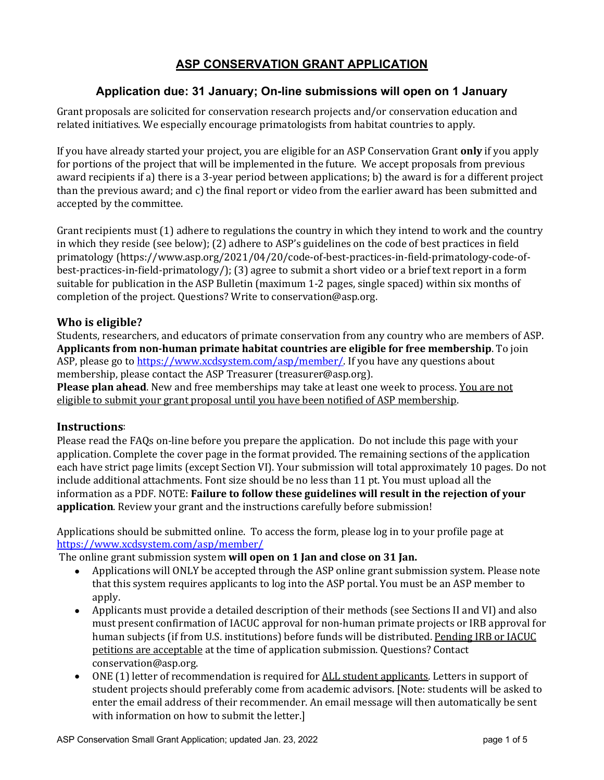### **ASP CONSERVATION GRANT APPLICATION**

### **Application due: 31 January; On-line submissions will open on 1 January**

Grant proposals are solicited for conservation research projects and/or conservation education and related initiatives. We especially encourage primatologists from habitat countries to apply.

If you have already started your project, you are eligible for an ASP Conservation Grant **only** if you apply for portions of the project that will be implemented in the future. We accept proposals from previous award recipients if a) there is a 3-year period between applications; b) the award is for a different project than the previous award; and c) the final report or video from the earlier award has been submitted and accepted by the committee.

Grant recipients must  $(1)$  adhere to regulations the country in which they intend to work and the country in which they reside (see below); (2) adhere to ASP's guidelines on the code of best practices in field primatology (https://www.asp.org/2021/04/20/code-of-best-practices-in-field-primatology-code-ofbest-practices-in-field-primatology/); (3) agree to submit a short video or a brief text report in a form suitable for publication in the ASP Bulletin (maximum 1-2 pages, single spaced) within six months of completion of the project. Questions? Write to conservation@asp.org.

#### **Who is eligible?**

Students, researchers, and educators of primate conservation from any country who are members of ASP. **Applicants from non-human primate habitat countries are eligible for free membership**. To join ASP, please go to https://www.xcdsystem.com/asp/member/. If you have any questions about membership, please contact the ASP Treasurer (treasurer@asp.org).

**Please plan ahead**. New and free memberships may take at least one week to process. You are not eligible to submit your grant proposal until you have been notified of ASP membership.

#### **Instructions**:

Please read the FAQs on-line before you prepare the application. Do not include this page with your application. Complete the cover page in the format provided. The remaining sections of the application each have strict page limits (except Section VI). Your submission will total approximately 10 pages. Do not include additional attachments. Font size should be no less than 11 pt. You must upload all the information as a PDF. NOTE: **Failure to follow these guidelines will result in the rejection of your application**. Review your grant and the instructions carefully before submission!

Applications should be submitted online. To access the form, please log in to your profile page at https://www.xcdsystem.com/asp/member/

The online grant submission system will open on 1 Jan and close on 31 Jan.

- Applications will ONLY be accepted through the ASP online grant submission system. Please note that this system requires applicants to log into the ASP portal. You must be an ASP member to apply.
- Applicants must provide a detailed description of their methods (see Sections II and VI) and also must present confirmation of IACUC approval for non-human primate projects or IRB approval for human subjects (if from U.S. institutions) before funds will be distributed. Pending IRB or IACUC petitions are acceptable at the time of application submission. Questions? Contact conservation@asp.org.
- ONE (1) letter of recommendation is required for ALL student applicants. Letters in support of student projects should preferably come from academic advisors. [Note: students will be asked to enter the email address of their recommender. An email message will then automatically be sent with information on how to submit the letter.]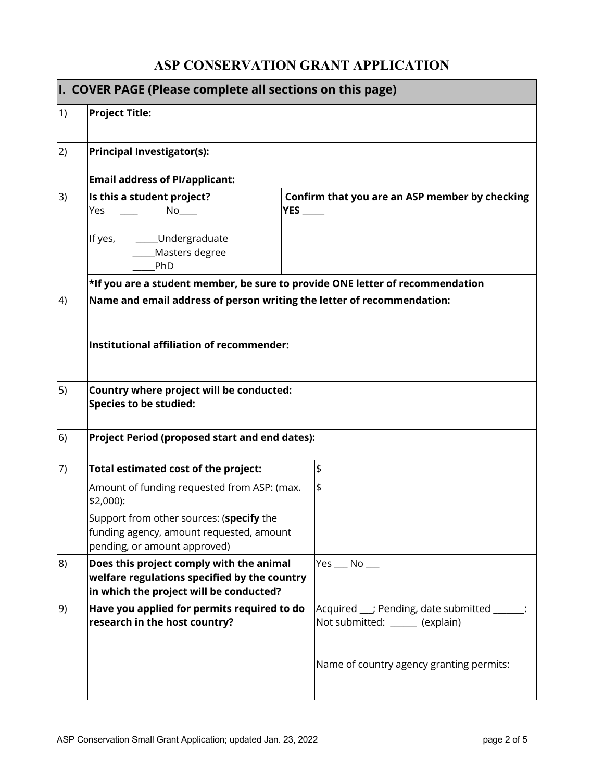# **ASP CONSERVATION GRANT APPLICATION**

| I. COVER PAGE (Please complete all sections on this page) |                                                                                                                                     |                                                                                 |  |
|-----------------------------------------------------------|-------------------------------------------------------------------------------------------------------------------------------------|---------------------------------------------------------------------------------|--|
| (1)                                                       | <b>Project Title:</b>                                                                                                               |                                                                                 |  |
| 2)                                                        | <b>Principal Investigator(s):</b>                                                                                                   |                                                                                 |  |
|                                                           | <b>Email address of PI/applicant:</b>                                                                                               |                                                                                 |  |
| 3)                                                        | Is this a student project?<br>Yes                                                                                                   | Confirm that you are an ASP member by checking<br><b>YES</b>                    |  |
|                                                           | __Undergraduate<br>If yes,<br>Masters degree<br>PhD                                                                                 |                                                                                 |  |
|                                                           | *If you are a student member, be sure to provide ONE letter of recommendation                                                       |                                                                                 |  |
| 4)                                                        | Name and email address of person writing the letter of recommendation:<br>Institutional affiliation of recommender:                 |                                                                                 |  |
| $\vert 5)$                                                | Country where project will be conducted:<br><b>Species to be studied:</b>                                                           |                                                                                 |  |
| 6)                                                        | Project Period (proposed start and end dates):                                                                                      |                                                                                 |  |
| (7)                                                       | Total estimated cost of the project:                                                                                                | \$                                                                              |  |
|                                                           | Amount of funding requested from ASP: (max.<br>\$2,000):                                                                            | \$                                                                              |  |
|                                                           | Support from other sources: (specify the<br>funding agency, amount requested, amount<br>pending, or amount approved)                |                                                                                 |  |
| 8)                                                        | Does this project comply with the animal<br>welfare regulations specified by the country<br>in which the project will be conducted? | $Yes$ No $\_\_$                                                                 |  |
| 9)                                                        | Have you applied for permits required to do<br>research in the host country?                                                        | Acquired __; Pending, date submitted ______:<br>Not submitted: ______ (explain) |  |
|                                                           |                                                                                                                                     | Name of country agency granting permits:                                        |  |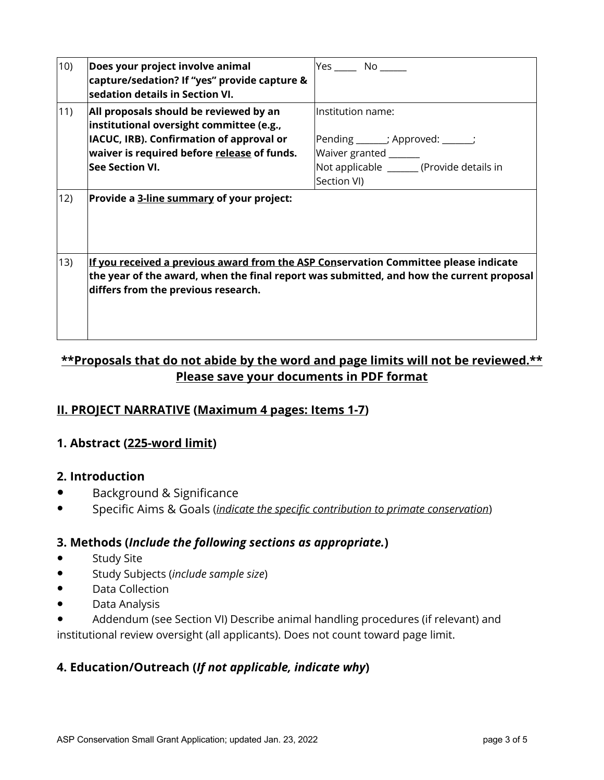| 10)          | Does your project involve animal<br>capture/sedation? If "yes" provide capture &<br>sedation details in Section VI.                                                                                                     |                                            |
|--------------|-------------------------------------------------------------------------------------------------------------------------------------------------------------------------------------------------------------------------|--------------------------------------------|
| $ 11\rangle$ | All proposals should be reviewed by an<br>institutional oversight committee (e.g.,                                                                                                                                      | Institution name:                          |
|              | IACUC, IRB). Confirmation of approval or                                                                                                                                                                                | Pending ______; Approved: _____;           |
|              | waiver is required before release of funds.                                                                                                                                                                             | Waiver granted _______                     |
|              | <b>See Section VI.</b>                                                                                                                                                                                                  | Not applicable _______ (Provide details in |
|              |                                                                                                                                                                                                                         | Section VI)                                |
| 12)          | Provide a 3-line summary of your project:                                                                                                                                                                               |                                            |
| 13)          | If you received a previous award from the ASP Conservation Committee please indicate<br>the year of the award, when the final report was submitted, and how the current proposal<br>differs from the previous research. |                                            |

# **\*\*Proposals that do not abide by the word and page limits will not be reviewed.\*\* Please save your documents in PDF format**

## **II. PROJECT NARRATIVE (Maximum 4 pages: Items 1-7)**

### **1. Abstract (225-word limit)**

#### **2. Introduction**

- Background & Significance
- Specific Aims & Goals (*indicate the specific contribution to primate conservation*)

#### **3. Methods (***Include the following sections as appropriate.***)**

- **Study Site**
- Study Subjects (*include sample size*)
- Data Collection
- Data Analysis
- Addendum (see Section VI) Describe animal handling procedures (if relevant) and institutional review oversight (all applicants). Does not count toward page limit.

### **4. Education/Outreach (***If not applicable, indicate why***)**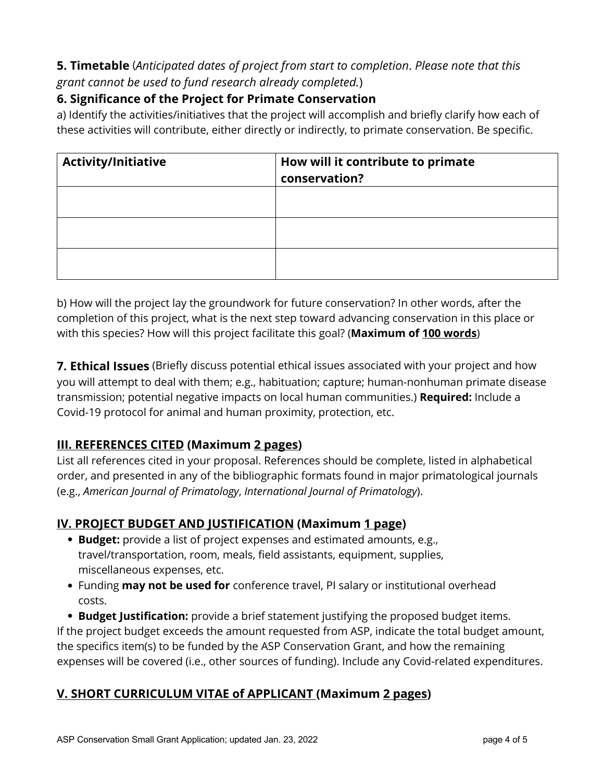### **5. Timetable** (*Anticipated dates of project from start to completion*. *Please note that this grant cannot be used to fund research already completed.*)

### **6. Significance of the Project for Primate Conservation**

a) Identify the activities/initiatives that the project will accomplish and briefly clarify how each of these activities will contribute, either directly or indirectly, to primate conservation. Be specific.

| <b>Activity/Initiative</b> | How will it contribute to primate<br>conservation? |
|----------------------------|----------------------------------------------------|
|                            |                                                    |
|                            |                                                    |
|                            |                                                    |

b) How will the project lay the groundwork for future conservation? In other words, after the completion of this project, what is the next step toward advancing conservation in this place or with this species? How will this project facilitate this goal? (**Maximum of 100 words**)

**7. Ethical Issues** (Briefly discuss potential ethical issues associated with your project and how you will attempt to deal with them; e.g., habituation; capture; human-nonhuman primate disease transmission; potential negative impacts on local human communities.) **Required:** Include a Covid-19 protocol for animal and human proximity, protection, etc.

## **III. REFERENCES CITED (Maximum 2 pages)**

List all references cited in your proposal. References should be complete, listed in alphabetical order, and presented in any of the bibliographic formats found in major primatological journals (e.g., *American Journal of Primatology*, *International Journal of Primatology*).

# **IV. PROJECT BUDGET AND JUSTIFICATION (Maximum 1 page)**

- **Budget:** provide a list of project expenses and estimated amounts, e.g., travel/transportation, room, meals, field assistants, equipment, supplies, miscellaneous expenses, etc.
- Funding **may not be used for** conference travel, PI salary or institutional overhead costs.

• **Budget Justification:** provide a brief statement justifying the proposed budget items. If the project budget exceeds the amount requested from ASP, indicate the total budget amount, the specifics item(s) to be funded by the ASP Conservation Grant, and how the remaining expenses will be covered (i.e., other sources of funding). Include any Covid-related expenditures.

## **V. SHORT CURRICULUM VITAE of APPLICANT (Maximum 2 pages)**